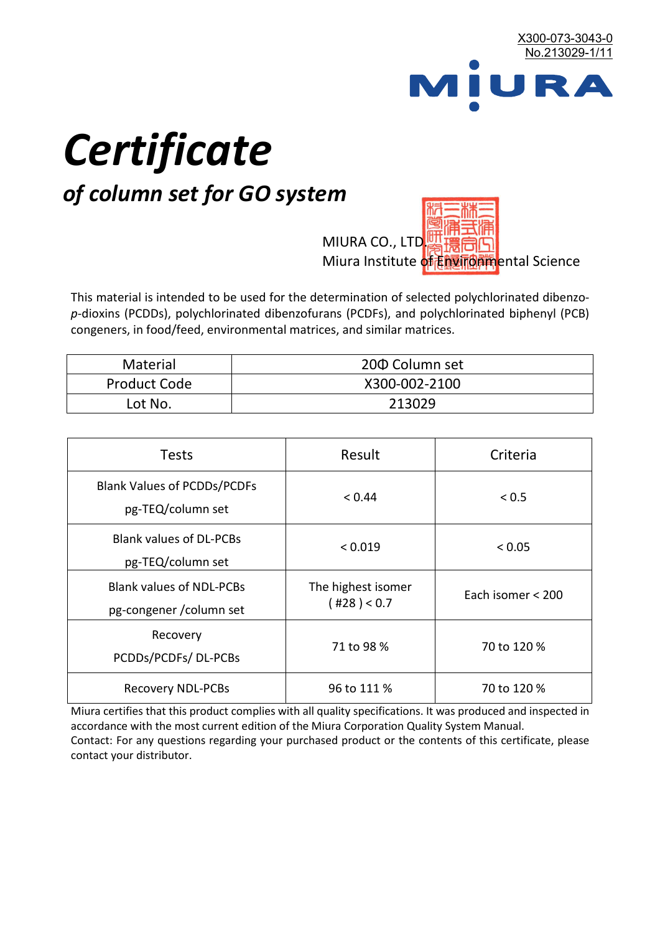

# *Certificate*

## *of column set for GO system*

MIURA CO., LTD. Miura Institute of 正版而解ental Science

This material is intended to be used for the determination of selected polychlorinated dibenzo*p*-dioxins (PCDDs), polychlorinated dibenzofurans (PCDFs), and polychlorinated biphenyl (PCB) congeners, in food/feed, environmental matrices, and similar matrices.

| <b>Material</b>     | 200 Column set |  |
|---------------------|----------------|--|
| <b>Product Code</b> | X300-002-2100  |  |
| Lot No.             | 213029         |  |

| <b>Tests</b>                                                | Result                            | Criteria          |  |
|-------------------------------------------------------------|-----------------------------------|-------------------|--|
| <b>Blank Values of PCDDs/PCDFs</b><br>pg-TEQ/column set     | < 0.44                            | < 0.5             |  |
| <b>Blank values of DL-PCBs</b><br>pg-TEQ/column set         | < 0.019                           | < 0.05            |  |
| <b>Blank values of NDL-PCBs</b><br>pg-congener / column set | The highest isomer<br>(428) < 0.7 | Each isomer < 200 |  |
| Recovery<br>PCDDs/PCDFs/DL-PCBs                             | 71 to 98 %                        | 70 to 120 %       |  |
| <b>Recovery NDL-PCBs</b>                                    | 96 to 111 %                       | 70 to 120 %       |  |

Miura certifies that this product complies with all quality specifications. It was produced and inspected in accordance with the most current edition of the Miura Corporation Quality System Manual. Contact: For any questions regarding your purchased product or the contents of this certificate, please contact your distributor.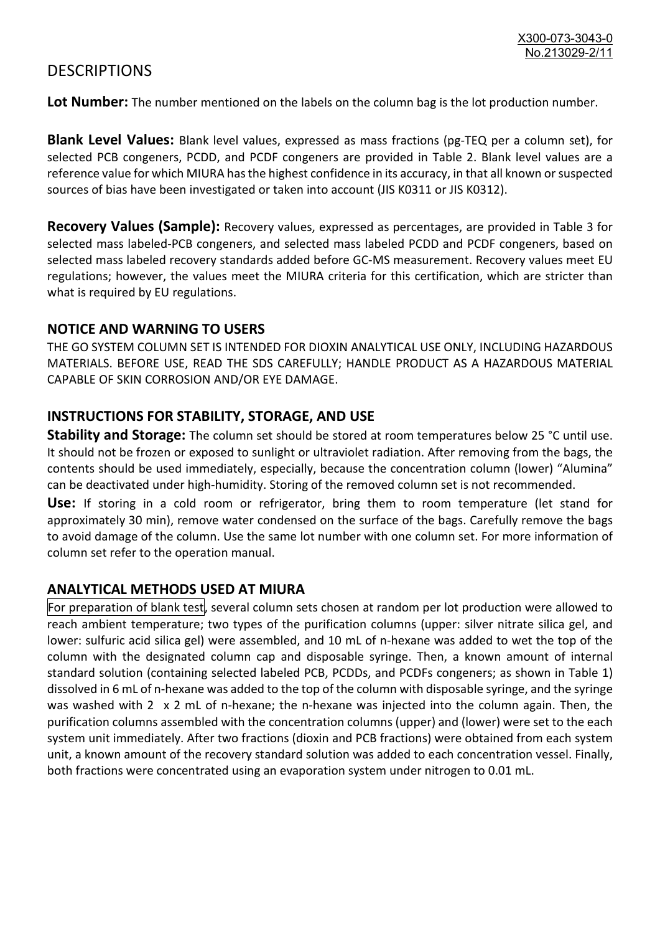### **DESCRIPTIONS**

**Lot Number:** The number mentioned on the labels on the column bag is the lot production number.

**Blank Level Values:** Blank level values, expressed as mass fractions (pg-TEQ per a column set), for selected PCB congeners, PCDD, and PCDF congeners are provided in Table 2. Blank level values are a reference value for which MIURA has the highest confidence in its accuracy, in that all known or suspected sources of bias have been investigated or taken into account (JIS K0311 or JIS K0312).

**Recovery Values (Sample):** Recovery values, expressed as percentages, are provided in Table 3 for selected mass labeled-PCB congeners, and selected mass labeled PCDD and PCDF congeners, based on selected mass labeled recovery standards added before GC-MS measurement. Recovery values meet EU regulations; however, the values meet the MIURA criteria for this certification, which are stricter than what is required by EU regulations.

#### **NOTICE AND WARNING TO USERS**

THE GO SYSTEM COLUMN SET IS INTENDED FOR DIOXIN ANALYTICAL USE ONLY, INCLUDING HAZARDOUS MATERIALS. BEFORE USE, READ THE SDS CAREFULLY; HANDLE PRODUCT AS A HAZARDOUS MATERIAL CAPABLE OF SKIN CORROSION AND/OR EYE DAMAGE.

#### **INSTRUCTIONS FOR STABILITY, STORAGE, AND USE**

**Stability and Storage:** The column set should be stored at room temperatures below 25 °C until use. It should not be frozen or exposed to sunlight or ultraviolet radiation. After removing from the bags, the contents should be used immediately, especially, because the concentration column (lower) "Alumina" can be deactivated under high-humidity. Storing of the removed column set is not recommended.

**Use:** If storing in a cold room or refrigerator, bring them to room temperature (let stand for approximately 30 min), remove water condensed on the surface of the bags. Carefully remove the bags to avoid damage of the column. Use the same lot number with one column set. For more information of column set refer to the operation manual.

#### **ANALYTICAL METHODS USED AT MIURA**

For preparation of blank test, several column sets chosen at random per lot production were allowed to reach ambient temperature; two types of the purification columns (upper: silver nitrate silica gel, and lower: sulfuric acid silica gel) were assembled, and 10 mL of n-hexane was added to wet the top of the column with the designated column cap and disposable syringe. Then, a known amount of internal standard solution (containing selected labeled PCB, PCDDs, and PCDFs congeners; as shown in Table 1) dissolved in 6 mL of n-hexane was added to the top of the column with disposable syringe, and the syringe was washed with 2 x 2 mL of n-hexane; the n-hexane was injected into the column again. Then, the purification columns assembled with the concentration columns (upper) and (lower) were set to the each system unit immediately. After two fractions (dioxin and PCB fractions) were obtained from each system unit, a known amount of the recovery standard solution was added to each concentration vessel. Finally, both fractions were concentrated using an evaporation system under nitrogen to 0.01 mL.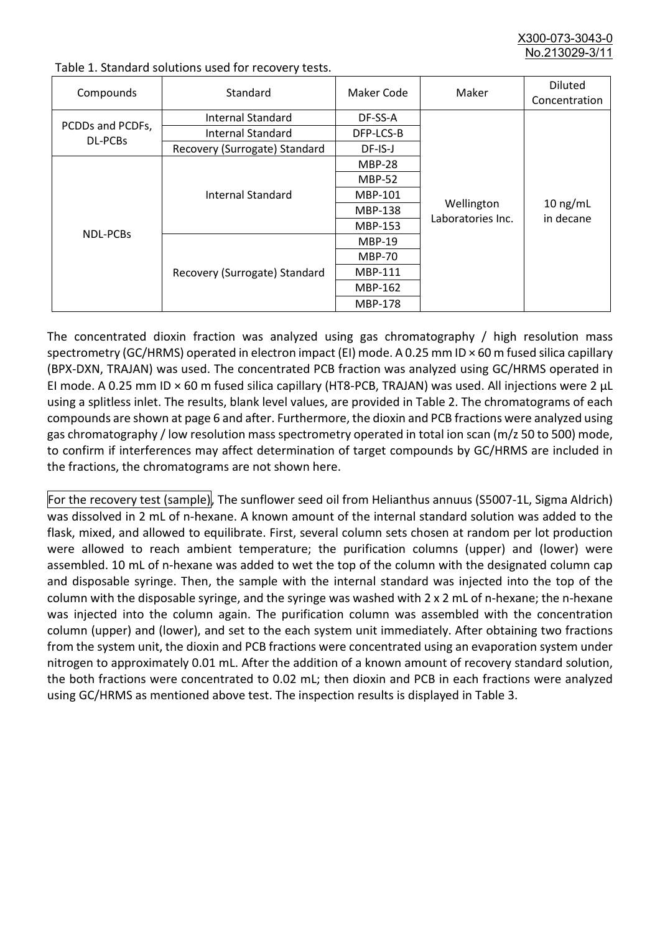X300-073-3043-0 No. 213029-3/

| Compounds                   | Standard                      | Maker Code     | Maker                           | <b>Diluted</b><br>Concentration |
|-----------------------------|-------------------------------|----------------|---------------------------------|---------------------------------|
| PCDDs and PCDFs,<br>DL-PCBs | Internal Standard             | DF-SS-A        |                                 |                                 |
|                             | <b>Internal Standard</b>      | DFP-LCS-B      |                                 |                                 |
|                             | Recovery (Surrogate) Standard | DF-IS-J        |                                 |                                 |
| <b>NDL-PCBs</b>             | Internal Standard             | <b>MBP-28</b>  | Wellington<br>Laboratories Inc. | $10$ ng/mL<br>in decane         |
|                             |                               | <b>MBP-52</b>  |                                 |                                 |
|                             |                               | MBP-101        |                                 |                                 |
|                             |                               | <b>MBP-138</b> |                                 |                                 |
|                             |                               | MBP-153        |                                 |                                 |
|                             | Recovery (Surrogate) Standard | <b>MBP-19</b>  |                                 |                                 |
|                             |                               | <b>MBP-70</b>  |                                 |                                 |
|                             |                               | MBP-111        |                                 |                                 |
|                             |                               | MBP-162        |                                 |                                 |
|                             |                               | <b>MBP-178</b> |                                 |                                 |

Table 1. Standard solutions used for recovery tests.

The concentrated dioxin fraction was analyzed using gas chromatography / high resolution mass spectrometry (GC/HRMS) operated in electron impact (EI) mode. A 0.25 mm ID × 60 m fused silica capillary (BPX-DXN, TRAJAN) was used. The concentrated PCB fraction was analyzed using GC/HRMS operated in EI mode. A 0.25 mm ID × 60 m fused silica capillary (HT8-PCB, TRAJAN) was used. All injections were 2 μL using a splitless inlet. The results, blank level values, are provided in Table 2. The chromatograms of each compounds are shown at page 6 and after. Furthermore, the dioxin and PCB fractions were analyzed using gas chromatography / low resolution mass spectrometry operated in total ion scan (m/z 50 to 500) mode, to confirm if interferences may affect determination of target compounds by GC/HRMS are included in the fractions, the chromatograms are not shown here.

For the recovery test (sample), The sunflower seed oil from Helianthus annuus (S5007-1L, Sigma Aldrich) was dissolved in 2 mL of n-hexane. A known amount of the internal standard solution was added to the flask, mixed, and allowed to equilibrate. First, several column sets chosen at random per lot production were allowed to reach ambient temperature; the purification columns (upper) and (lower) were assembled. 10 mL of n-hexane was added to wet the top of the column with the designated column cap and disposable syringe. Then, the sample with the internal standard was injected into the top of the column with the disposable syringe, and the syringe was washed with 2 x 2 mL of n-hexane; the n-hexane was injected into the column again. The purification column was assembled with the concentration column (upper) and (lower), and set to the each system unit immediately. After obtaining two fractions from the system unit, the dioxin and PCB fractions were concentrated using an evaporation system under nitrogen to approximately 0.01 mL. After the addition of a known amount of recovery standard solution, the both fractions were concentrated to 0.02 mL; then dioxin and PCB in each fractions were analyzed using GC/HRMS as mentioned above test. The inspection results is displayed in Table 3.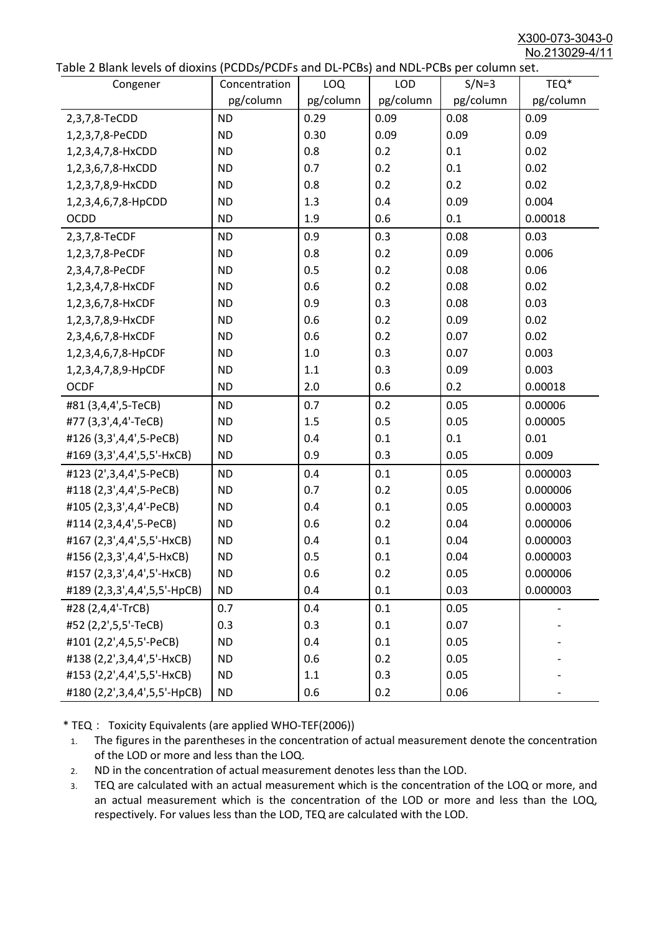X300-073-3043-0 No.213029-4/11

| able 2 Diarik levels of dioxins (FCDD3/FCDF3 and DL-FCD3) and NDL-FCD3 per column set.<br>Congener | Concentration | <b>LOQ</b> | <b>LOD</b> | $S/N=3$   | TEQ*      |
|----------------------------------------------------------------------------------------------------|---------------|------------|------------|-----------|-----------|
|                                                                                                    | pg/column     | pg/column  | pg/column  | pg/column | pg/column |
| 2,3,7,8-TeCDD                                                                                      | <b>ND</b>     | 0.29       | 0.09       | 0.08      | 0.09      |
| 1,2,3,7,8-PeCDD                                                                                    | <b>ND</b>     | 0.30       | 0.09       | 0.09      | 0.09      |
| 1,2,3,4,7,8-HxCDD                                                                                  | <b>ND</b>     | 0.8        | 0.2        | 0.1       | 0.02      |
| 1,2,3,6,7,8-HxCDD                                                                                  | <b>ND</b>     | 0.7        | 0.2        | 0.1       | 0.02      |
| 1,2,3,7,8,9-HxCDD                                                                                  | <b>ND</b>     | 0.8        | 0.2        | 0.2       | 0.02      |
| 1,2,3,4,6,7,8-HpCDD                                                                                | <b>ND</b>     | 1.3        | 0.4        | 0.09      | 0.004     |
| <b>OCDD</b>                                                                                        | <b>ND</b>     | 1.9        | 0.6        | 0.1       | 0.00018   |
| 2,3,7,8-TeCDF                                                                                      | <b>ND</b>     | 0.9        | 0.3        | 0.08      | 0.03      |
| 1,2,3,7,8-PeCDF                                                                                    | <b>ND</b>     | 0.8        | 0.2        | 0.09      | 0.006     |
| 2,3,4,7,8-PeCDF                                                                                    | <b>ND</b>     | 0.5        | 0.2        | 0.08      | 0.06      |
| 1,2,3,4,7,8-HxCDF                                                                                  | <b>ND</b>     | 0.6        | 0.2        | 0.08      | 0.02      |
| 1,2,3,6,7,8-HxCDF                                                                                  | <b>ND</b>     | 0.9        | 0.3        | 0.08      | 0.03      |
| 1,2,3,7,8,9-HxCDF                                                                                  | <b>ND</b>     | 0.6        | 0.2        | 0.09      | 0.02      |
| 2,3,4,6,7,8-HxCDF                                                                                  | <b>ND</b>     | 0.6        | 0.2        | 0.07      | 0.02      |
| 1,2,3,4,6,7,8-HpCDF                                                                                | <b>ND</b>     | 1.0        | 0.3        | 0.07      | 0.003     |
| 1,2,3,4,7,8,9-HpCDF                                                                                | <b>ND</b>     | 1.1        | 0.3        | 0.09      | 0.003     |
| <b>OCDF</b>                                                                                        | <b>ND</b>     | 2.0        | 0.6        | 0.2       | 0.00018   |
| #81 (3,4,4',5-TeCB)                                                                                | <b>ND</b>     | 0.7        | 0.2        | 0.05      | 0.00006   |
| #77 (3,3',4,4'-TeCB)                                                                               | <b>ND</b>     | 1.5        | 0.5        | 0.05      | 0.00005   |
| #126 (3,3',4,4',5-PeCB)                                                                            | <b>ND</b>     | 0.4        | 0.1        | 0.1       | 0.01      |
| #169 (3,3',4,4',5,5'-HxCB)                                                                         | <b>ND</b>     | 0.9        | 0.3        | 0.05      | 0.009     |
| #123 (2',3,4,4',5-PeCB)                                                                            | <b>ND</b>     | 0.4        | 0.1        | 0.05      | 0.000003  |
| #118 (2,3',4,4',5-PeCB)                                                                            | <b>ND</b>     | 0.7        | 0.2        | 0.05      | 0.000006  |
| #105 (2,3,3',4,4'-PeCB)                                                                            | <b>ND</b>     | 0.4        | 0.1        | 0.05      | 0.000003  |
| #114 (2,3,4,4',5-PeCB)                                                                             | <b>ND</b>     | 0.6        | 0.2        | 0.04      | 0.000006  |
| #167 (2,3',4,4',5,5'-HxCB)                                                                         | <b>ND</b>     | 0.4        | 0.1        | 0.04      | 0.000003  |
| #156 (2,3,3',4,4',5-HxCB)                                                                          | <b>ND</b>     | 0.5        | 0.1        | 0.04      | 0.000003  |
| #157 (2,3,3',4,4',5'-HxCB)                                                                         | <b>ND</b>     | 0.6        | 0.2        | 0.05      | 0.000006  |
| #189 (2,3,3',4,4',5,5'-HpCB)                                                                       | <b>ND</b>     | 0.4        | 0.1        | 0.03      | 0.000003  |
| #28 (2,4,4'-TrCB)                                                                                  | 0.7           | 0.4        | 0.1        | 0.05      |           |
| #52 (2,2',5,5'-TeCB)                                                                               | 0.3           | 0.3        | 0.1        | 0.07      |           |
| #101 (2,2',4,5,5'-PeCB)                                                                            | <b>ND</b>     | 0.4        | 0.1        | 0.05      |           |
| #138 (2,2',3,4,4',5'-HxCB)                                                                         | <b>ND</b>     | 0.6        | 0.2        | 0.05      |           |
| #153 (2,2',4,4',5,5'-HxCB)                                                                         | <b>ND</b>     | 1.1        | 0.3        | 0.05      |           |
| #180 (2,2',3,4,4',5,5'-HpCB)                                                                       | <b>ND</b>     | 0.6        | 0.2        | 0.06      |           |

\* TEQ: Toxicity Equivalents (are applied WHO-TEF(2006))

- 1. The figures in the parentheses in the concentration of actual measurement denote the concentration of the LOD or more and less than the LOQ.
- 2. ND in the concentration of actual measurement denotes less than the LOD.
- 3. TEQ are calculated with an actual measurement which is the concentration of the LOQ or more, and an actual measurement which is the concentration of the LOD or more and less than the LOQ, respectively. For values less than the LOD, TEQ are calculated with the LOD.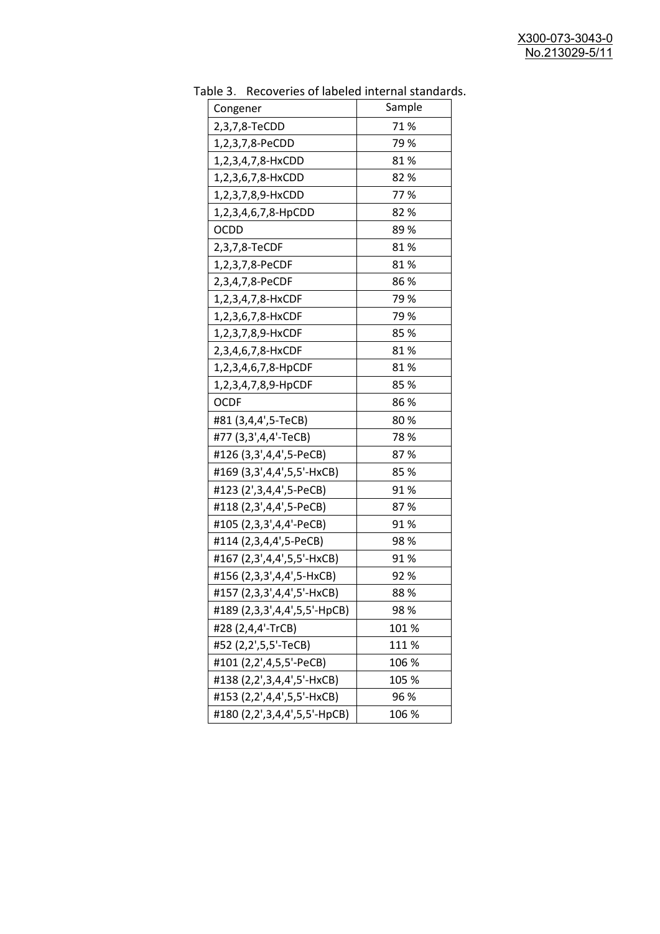| uwic J.<br>RECOVERED OF RESERVATION PROTHOLOGY<br>Congener | Sample |
|------------------------------------------------------------|--------|
| 2,3,7,8-TeCDD                                              | 71%    |
| 1,2,3,7,8-PeCDD                                            | 79 %   |
| 1,2,3,4,7,8-HxCDD                                          | 81%    |
| 1,2,3,6,7,8-HxCDD                                          | 82%    |
| 1,2,3,7,8,9-HxCDD                                          | 77%    |
| 1,2,3,4,6,7,8-HpCDD                                        | 82%    |
| <b>OCDD</b>                                                | 89%    |
| 2,3,7,8-TeCDF                                              | 81%    |
| 1,2,3,7,8-PeCDF                                            | 81%    |
| 2,3,4,7,8-PeCDF                                            | 86%    |
| 1,2,3,4,7,8-HxCDF                                          | 79%    |
| 1,2,3,6,7,8-HxCDF                                          | 79 %   |
| 1,2,3,7,8,9-HxCDF                                          | 85 %   |
| 2,3,4,6,7,8-HxCDF                                          | 81%    |
| 1,2,3,4,6,7,8-HpCDF                                        | 81%    |
| 1,2,3,4,7,8,9-HpCDF                                        | 85%    |
| <b>OCDF</b>                                                | 86%    |
| #81 (3,4,4',5-TeCB)                                        | 80%    |
| #77 (3,3',4,4'-TeCB)                                       | 78 %   |
| #126 (3,3',4,4',5-PeCB)                                    | 87%    |
| #169 (3,3',4,4',5,5'-HxCB)                                 | 85%    |
| #123 (2',3,4,4',5-PeCB)                                    | 91%    |
| #118 (2,3',4,4',5-PeCB)                                    | 87%    |
| #105 (2,3,3',4,4'-PeCB)                                    | 91%    |
| #114 (2,3,4,4',5-PeCB)                                     | 98%    |
| #167 (2,3',4,4',5,5'-HxCB)                                 | 91%    |
| #156 (2,3,3',4,4',5-HxCB)                                  | 92 %   |
| #157 (2,3,3',4,4',5'-HxCB)                                 | 88%    |
| #189 (2,3,3',4,4',5,5'-HpCB)                               | 98%    |
| #28 (2,4,4'-TrCB)                                          | 101 %  |
| #52 (2,2',5,5'-TeCB)                                       | 111%   |
| #101 (2,2',4,5,5'-PeCB)                                    | 106 %  |
| #138 (2,2',3,4,4',5'-HxCB)                                 | 105 %  |
| #153 (2,2',4,4',5,5'-HxCB)                                 | 96 %   |
| #180 (2,2',3,4,4',5,5'-HpCB)                               | 106 %  |

Table 3. Recoveries of labeled internal standards.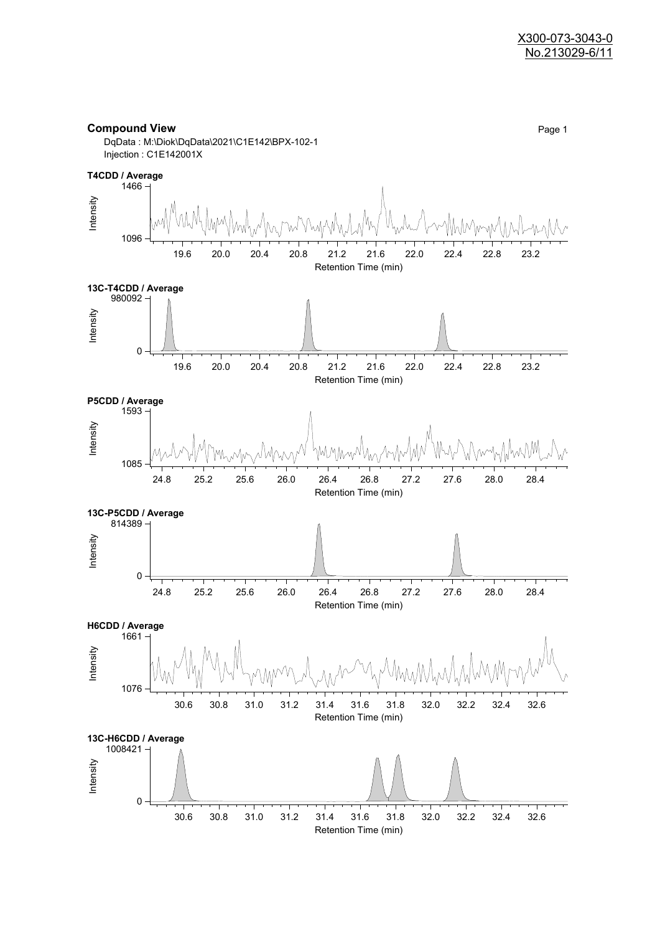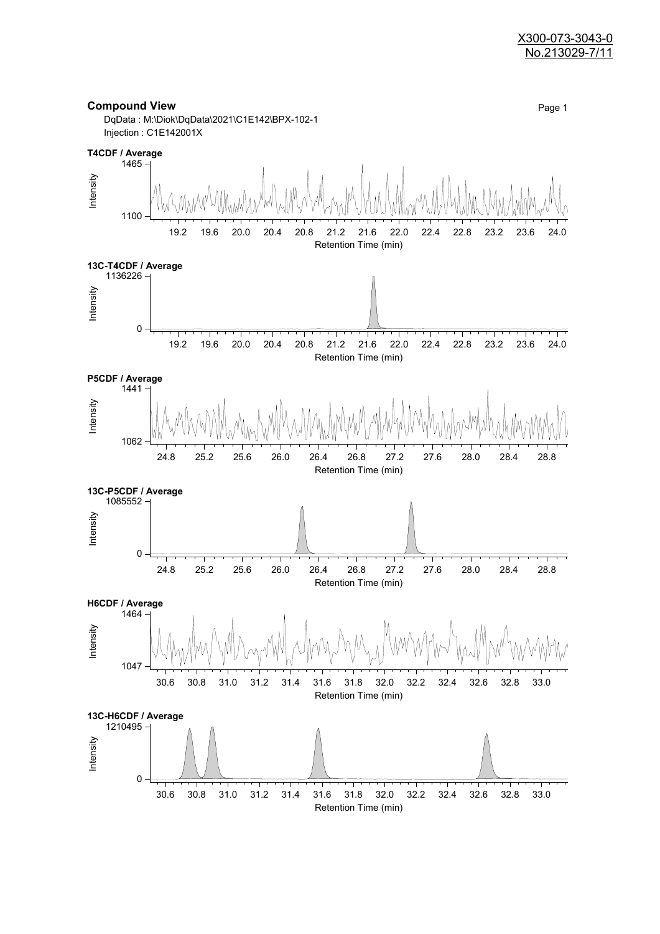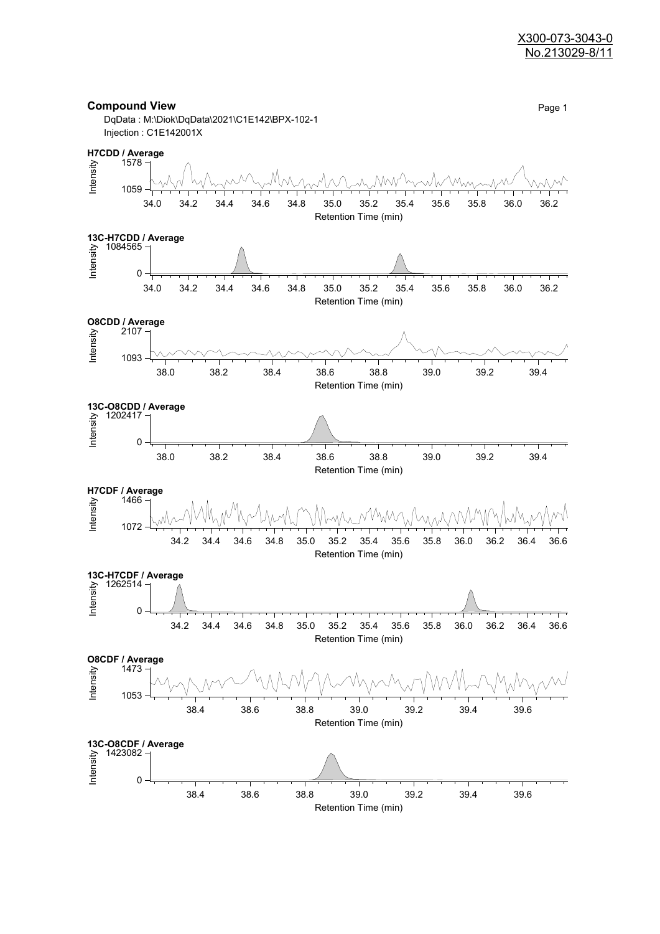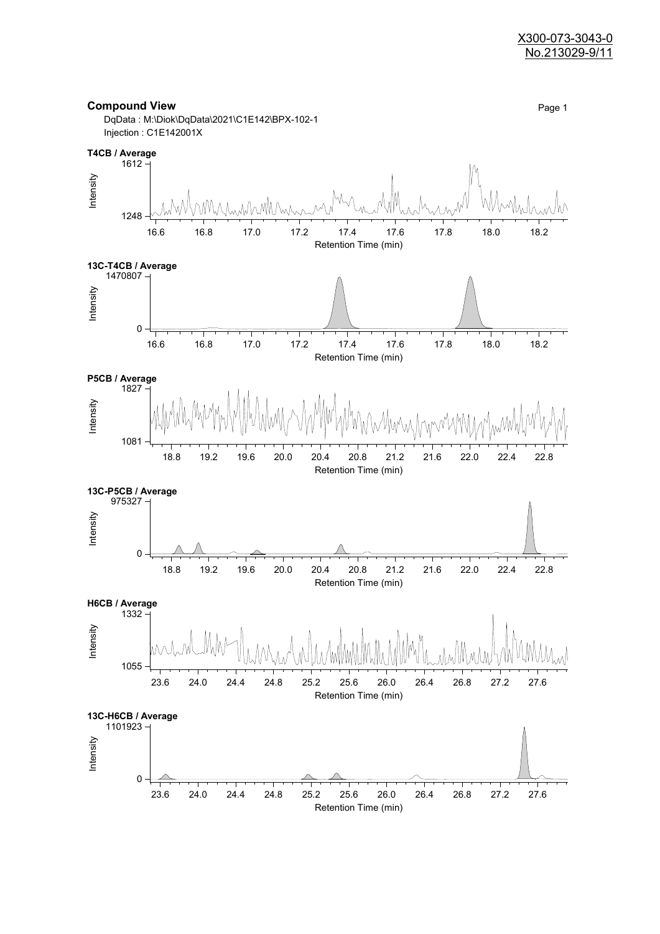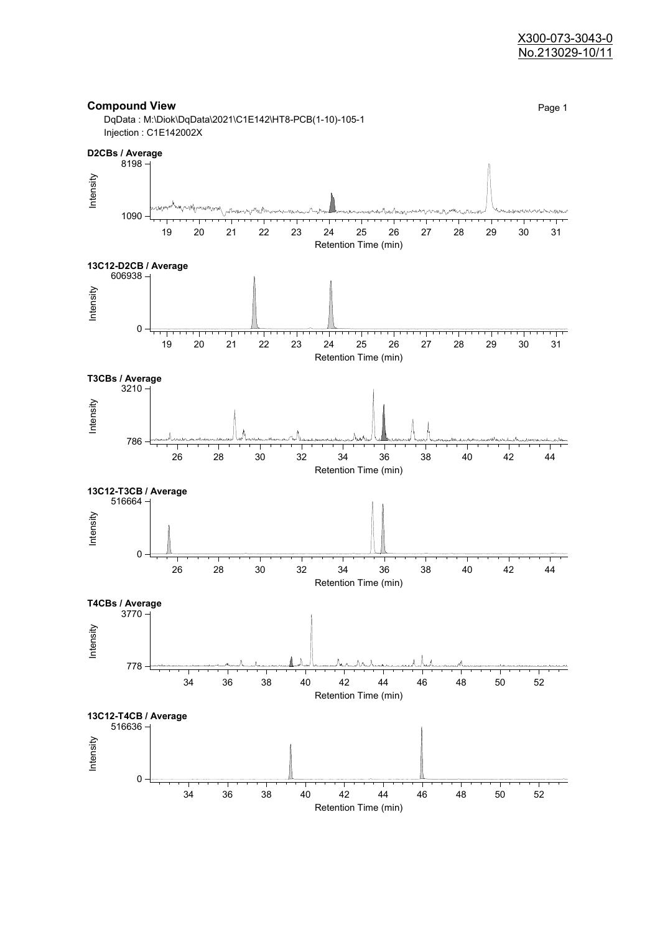